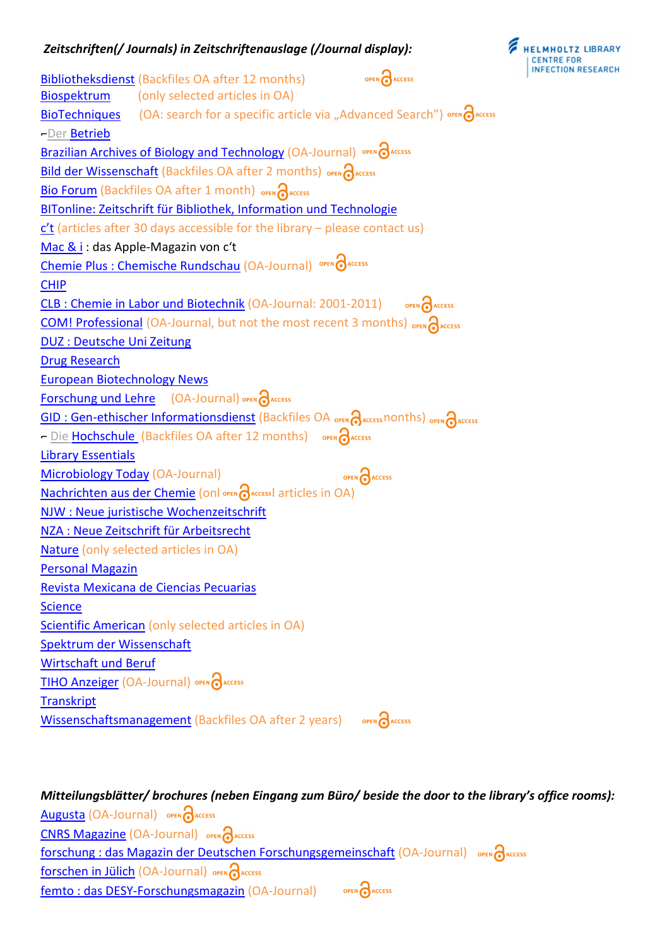## *Zeitschriften(/ Journals) in Zeitschriftenauslage (/Journal display):*



Bibliotheksdienst (Backfiles OA after 12 months) OPEN PACCESS Biospektrum (only selected articles in OA) BioTechniques (OA: search for a specific article via "Advanced Search") OPEN  $\partial$ ACCESS -Der Betrieb Brazilian Archives of Biology and Technology (OA-Journal) OPEN CARCESS Bild der Wissenschaft (Backfiles OA after 2 months) OPEN RACCESS Bio Forum (Backfiles OA after 1 month) OPEN RACCESS BITonline: Zeitschrift für Bibliothek, Information und Technologie  $c't$  (articles after 30 days accessible for the library – please contact us) Mac & i : das Apple-Magazin von c't Chemie Plus : Chemische Rundschau (OA-Journal) OPEN CARCESS CHIP CLB : Chemie in Labor und Biotechnik (OA-Journal: 2001-2011) OPEN CACCESS COM! Professional (OA-Journal, but not the most recent 3 months) OPEN CACCESS DUZ : Deutsche Uni Zeitung Drug Research European Biotechnology News **Forschung und Lehre** (OA-Journal) OPEN CACCESS GID : Gen-ethischer Informationsdienst (Backfiles OA open access nonths) OPEN access - Die Hochschule (Backfiles OA after 12 months) OPEN CAACCESS Library Essentials OPEN CACCESS Microbiology Today (OA-Journal) Nachrichten aus der Chemie (onlivera daccessi articles in OA) NJW : Neue juristische Wochenzeitschrift NZA : Neue Zeitschrift für Arbeitsrecht Nature (only selected articles in OA) Personal Magazin Revista Mexicana de Ciencias Pecuarias **Science** Scientific American (only selected articles in OA) Spektrum der Wissenschaft Wirtschaft und Beruf TIHO Anzeiger (OA-Journal) OPEN CAACCESS **Transkript Wissenschaftsmanagement** (Backfiles OA after 2 years) OPEN CAACCESS

## *Mitteilungsblätter/ brochures (neben Eingang zum Büro/ beside the door to the library's office rooms):* Augusta (OA-Journal) OPEN CACCESS CNRS Magazine (OA-Journal) OPEN PACCESS forschung : das Magazin der Deutschen Forschungsgemeinschaft (OA-Journal) open access **forschen in Jülich (OA-Journal)** OPEN **A**ACCESS femto : das DESY-Forschungsmagazin (OA-Journal) open access